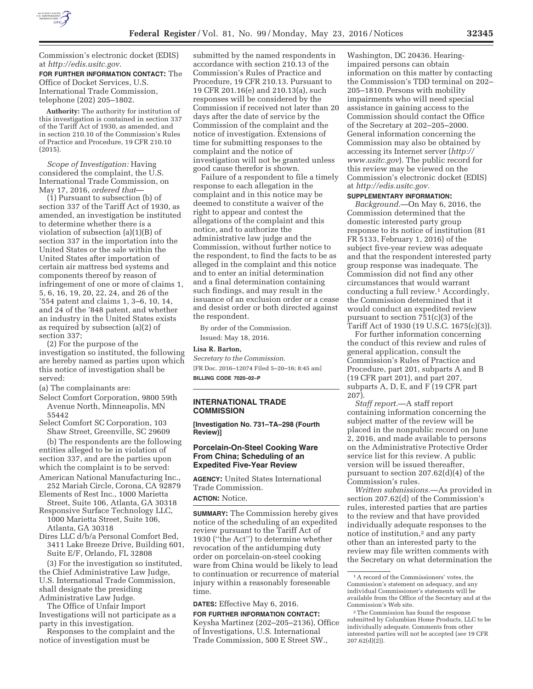

Commission's electronic docket (EDIS) at *http://edis.usitc.gov.* 

**FOR FURTHER INFORMATION CONTACT:** The Office of Docket Services, U.S. International Trade Commission, telephone (202) 205–1802.

**Authority:** The authority for institution of this investigation is contained in section 337 of the Tariff Act of 1930, as amended, and in section 210.10 of the Commission's Rules of Practice and Procedure, 19 CFR 210.10 (2015).

*Scope of Investigation:* Having considered the complaint, the U.S. International Trade Commission, on May 17, 2016, *ordered that*—

(1) Pursuant to subsection (b) of section 337 of the Tariff Act of 1930, as amended, an investigation be instituted to determine whether there is a violation of subsection (a)(1)(B) of section 337 in the importation into the United States or the sale within the United States after importation of certain air mattress bed systems and components thereof by reason of infringement of one or more of claims 1, 5, 6, 16, 19, 20, 22, 24, and 26 of the '554 patent and claims 1, 3–6, 10, 14, and 24 of the '848 patent, and whether an industry in the United States exists as required by subsection (a)(2) of section 337;

(2) For the purpose of the investigation so instituted, the following are hereby named as parties upon which this notice of investigation shall be served:

(a) The complainants are:

Select Comfort Corporation, 9800 59th Avenue North, Minneapolis, MN 55442

Select Comfort SC Corporation, 103 Shaw Street, Greenville, SC 29609 (b) The respondents are the following entities alleged to be in violation of section 337, and are the parties upon

which the complaint is to be served: American National Manufacturing Inc., 252 Mariah Circle, Corona, CA 92879

Elements of Rest Inc., 1000 Marietta Street, Suite 106, Atlanta, GA 30318

- Responsive Surface Technology LLC, 1000 Marietta Street, Suite 106, Atlanta, GA 30318
- Dires LLC d/b/a Personal Comfort Bed, 3411 Lake Breeze Drive, Building 601, Suite E/F, Orlando, FL 32808

(3) For the investigation so instituted, the Chief Administrative Law Judge, U.S. International Trade Commission, shall designate the presiding Administrative Law Judge.

The Office of Unfair Import Investigations will not participate as a party in this investigation.

Responses to the complaint and the notice of investigation must be

submitted by the named respondents in accordance with section 210.13 of the Commission's Rules of Practice and Procedure, 19 CFR 210.13. Pursuant to 19 CFR 201.16(e) and 210.13(a), such responses will be considered by the Commission if received not later than 20 days after the date of service by the Commission of the complaint and the notice of investigation. Extensions of time for submitting responses to the complaint and the notice of investigation will not be granted unless good cause therefor is shown.

Failure of a respondent to file a timely response to each allegation in the complaint and in this notice may be deemed to constitute a waiver of the right to appear and contest the allegations of the complaint and this notice, and to authorize the administrative law judge and the Commission, without further notice to the respondent, to find the facts to be as alleged in the complaint and this notice and to enter an initial determination and a final determination containing such findings, and may result in the issuance of an exclusion order or a cease and desist order or both directed against the respondent.

By order of the Commission. Issued: May 18, 2016.

#### **Lisa R. Barton,**

*Secretary to the Commission.*  [FR Doc. 2016–12074 Filed 5–20–16; 8:45 am] **BILLING CODE 7020–02–P** 

### **INTERNATIONAL TRADE COMMISSION**

**[Investigation No. 731–TA–298 (Fourth Review)]** 

### **Porcelain-On-Steel Cooking Ware From China; Scheduling of an Expedited Five-Year Review**

**AGENCY:** United States International Trade Commission.

# **ACTION:** Notice.

**SUMMARY:** The Commission hereby gives notice of the scheduling of an expedited review pursuant to the Tariff Act of 1930 (''the Act'') to determine whether revocation of the antidumping duty order on porcelain-on-steel cooking ware from China would be likely to lead to continuation or recurrence of material injury within a reasonably foreseeable time.

### **DATES:** Effective May 6, 2016.

**FOR FURTHER INFORMATION CONTACT:**  Keysha Martinez (202–205–2136), Office of Investigations, U.S. International Trade Commission, 500 E Street SW.,

Washington, DC 20436. Hearingimpaired persons can obtain information on this matter by contacting the Commission's TDD terminal on 202– 205–1810. Persons with mobility impairments who will need special assistance in gaining access to the Commission should contact the Office of the Secretary at 202–205–2000. General information concerning the Commission may also be obtained by accessing its Internet server (*http:// www.usitc.gov*). The public record for this review may be viewed on the Commission's electronic docket (EDIS) at *http://edis.usitc.gov.* 

# **SUPPLEMENTARY INFORMATION:**

*Background.*—On May 6, 2016, the Commission determined that the domestic interested party group response to its notice of institution (81 FR 5133, February 1, 2016) of the subject five-year review was adequate and that the respondent interested party group response was inadequate. The Commission did not find any other circumstances that would warrant conducting a full review.1 Accordingly, the Commission determined that it would conduct an expedited review pursuant to section 751(c)(3) of the Tariff Act of 1930 (19 U.S.C. 1675(c)(3)).

For further information concerning the conduct of this review and rules of general application, consult the Commission's Rules of Practice and Procedure, part 201, subparts A and B (19 CFR part 201), and part 207, subparts A, D, E, and F (19 CFR part 207).

*Staff report.*—A staff report containing information concerning the subject matter of the review will be placed in the nonpublic record on June 2, 2016, and made available to persons on the Administrative Protective Order service list for this review. A public version will be issued thereafter, pursuant to section 207.62(d)(4) of the Commission's rules.

*Written submissions.*—As provided in section 207.62(d) of the Commission's rules, interested parties that are parties to the review and that have provided individually adequate responses to the notice of institution,<sup>2</sup> and any party other than an interested party to the review may file written comments with the Secretary on what determination the

<sup>1</sup>A record of the Commissioners' votes, the Commission's statement on adequacy, and any individual Commissioner's statements will be available from the Office of the Secretary and at the Commission's Web site.

<sup>2</sup>The Commission has found the response submitted by Columbian Home Products, LLC to be individually adequate. Comments from other interested parties will not be accepted (*see* 19 CFR  $207.62(d)(2)$ ).